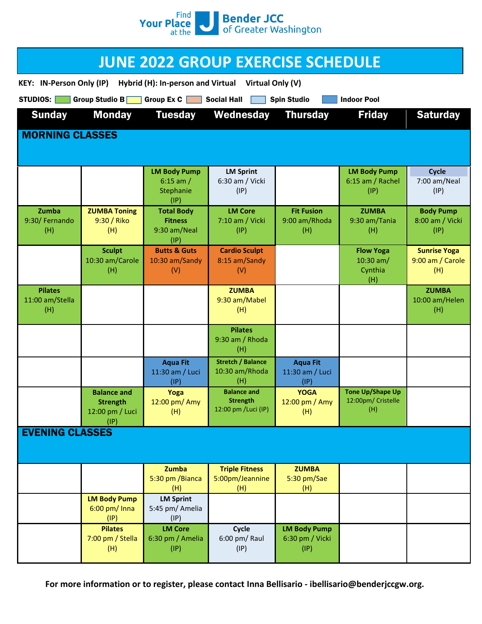

| <b>JUNE 2022 GROUP EXERCISE SCHEDULE</b>                                                                            |                                           |                                            |                                          |                                                |                                               |                                         |
|---------------------------------------------------------------------------------------------------------------------|-------------------------------------------|--------------------------------------------|------------------------------------------|------------------------------------------------|-----------------------------------------------|-----------------------------------------|
| <b>KEY: IN-Person Only (IP)</b><br>Hybrid (H): In-person and Virtual<br>Virtual Only (V)                            |                                           |                                            |                                          |                                                |                                               |                                         |
| Group Studio B<br>Group $Ex C$<br><b>STUDIOS:</b><br><b>Social Hall</b><br><b>Spin Studio</b><br><b>Indoor Pool</b> |                                           |                                            |                                          |                                                |                                               |                                         |
| <b>Sunday</b>                                                                                                       | <b>Monday</b>                             | <b>Tuesday</b>                             | Wednesday                                | <b>Thursday</b>                                | <b>Friday</b>                                 | <b>Saturday</b>                         |
| <b>MORNING CLASSES</b>                                                                                              |                                           |                                            |                                          |                                                |                                               |                                         |
|                                                                                                                     |                                           |                                            |                                          |                                                |                                               |                                         |
|                                                                                                                     |                                           | <b>LM Body Pump</b><br>6:15 am $/$         | <b>LM Sprint</b><br>6:30 am / Vicki      |                                                | <b>LM Body Pump</b><br>6:15 am / Rachel       | Cycle<br>7:00 am/Neal                   |
|                                                                                                                     |                                           | Stephanie<br>(IP)                          | (IP)                                     |                                                | (IP)                                          | (IP)                                    |
| Zumba<br>9:30/ Fernando                                                                                             | <b>ZUMBA Toning</b><br>9:30 / Riko        | <b>Total Body</b><br><b>Fitness</b>        | <b>LM Core</b><br>7:10 am / Vicki        | <b>Fit Fusion</b><br>9:00 am/Rhoda             | <b>ZUMBA</b><br>9:30 am/Tania                 | <b>Body Pump</b><br>8:00 am / Vicki     |
| (H)                                                                                                                 | (H)                                       | 9:30 am/Neal<br>(IP)                       | (IP)                                     | (H)                                            | (H)                                           | (IP)                                    |
|                                                                                                                     | <b>Sculpt</b><br>10:30 am/Carole          | <b>Butts &amp; Guts</b><br>10:30 am/Sandy  | <b>Cardio Sculpt</b><br>8:15 am/Sandy    |                                                | <b>Flow Yoga</b><br>10:30 $am/$               | <b>Sunrise Yoga</b><br>9:00 am / Carole |
|                                                                                                                     | (H)                                       | (V)                                        | (V)                                      |                                                | Cynthia<br>(H)                                | (H)                                     |
| <b>Pilates</b><br>11:00 am/Stella                                                                                   |                                           |                                            | <b>ZUMBA</b><br>9:30 am/Mabel            |                                                |                                               | <b>ZUMBA</b><br>10:00 am/Helen          |
| (H)                                                                                                                 |                                           |                                            | (H)                                      |                                                |                                               | (H)                                     |
|                                                                                                                     |                                           |                                            | <b>Pilates</b><br>9:30 am / Rhoda        |                                                |                                               |                                         |
|                                                                                                                     |                                           |                                            | (H)<br><b>Stretch / Balance</b>          |                                                |                                               |                                         |
|                                                                                                                     |                                           | <b>Aqua Fit</b><br>11:30 am / Luci<br>(IP) | 10:30 am/Rhoda<br>(H)                    | <b>Aqua Fit</b><br>11:30 am / Luci<br>(IP)     |                                               |                                         |
|                                                                                                                     | <b>Balance and</b><br><b>Strength</b>     | Yoga<br>12:00 pm/ Amy                      | <b>Balance and</b><br><b>Strength</b>    | <b>YOGA</b><br>12:00 pm / Amy                  | <b>Tone Up/Shape Up</b><br>12:00pm/ Cristelle |                                         |
|                                                                                                                     | 12:00 pm / Luci<br>(IP)                   | (H)                                        | 12:00 pm /Luci (IP)                      | (H)                                            | (H)                                           |                                         |
| <b>EVENING CLASSES</b>                                                                                              |                                           |                                            |                                          |                                                |                                               |                                         |
|                                                                                                                     |                                           |                                            |                                          |                                                |                                               |                                         |
|                                                                                                                     |                                           | Zumba<br>5:30 pm / Bianca                  | <b>Triple Fitness</b><br>5:00pm/Jeannine | <b>ZUMBA</b><br>5:30 pm/Sae                    |                                               |                                         |
|                                                                                                                     | <b>LM Body Pump</b>                       | (H)<br><b>LM Sprint</b>                    | (H)                                      | (H)                                            |                                               |                                         |
|                                                                                                                     | $6:00$ pm/ Inna<br>(IP)                   | 5:45 pm/ Amelia<br>(IP)                    |                                          |                                                |                                               |                                         |
|                                                                                                                     | <b>Pilates</b><br>7:00 pm / Stella<br>(H) | <b>LM Core</b><br>6:30 pm / Amelia<br>(IP) | Cycle<br>6:00 pm/ Raul<br>(IP)           | <b>LM Body Pump</b><br>6:30 pm / Vicki<br>(IP) |                                               |                                         |

For more information or to register, please contact Inna Bellisario - ibellisario@benderjccgw.org.